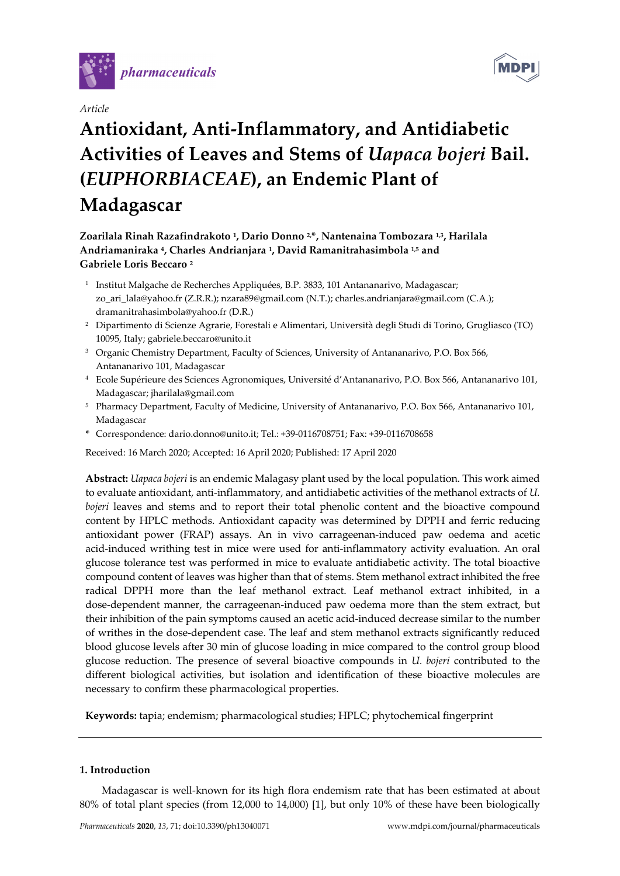





# **Antioxidant, Anti-Inflammatory, and Antidiabetic Activities of Leaves and Stems of** *Uapaca bojeri* **Bail. (***EUPHORBIACEAE***), an Endemic Plant of Madagascar**

## **Zoarilala Rinah Razafindrakoto 1, Dario Donno 2,\*, Nantenaina Tombozara 1,3, Harilala Andriamaniraka 4, Charles Andrianjara 1, David Ramanitrahasimbola 1,5 and Gabriele Loris Beccaro 2**

- <sup>1</sup> Institut Malgache de Recherches Appliquées, B.P. 3833, 101 Antananarivo, Madagascar; zo\_ari\_lala@yahoo.fr (Z.R.R.); nzara89@gmail.com (N.T.); charles.andrianjara@gmail.com (C.A.); dramanitrahasimbola@yahoo.fr (D.R.)
- 2 Dipartimento di Scienze Agrarie, Forestali e Alimentari, Università degli Studi di Torino, Grugliasco (TO) 10095, Italy; gabriele.beccaro@unito.it
- <sup>3</sup> Organic Chemistry Department, Faculty of Sciences, University of Antananarivo, P.O. Box 566, Antananarivo 101, Madagascar
- 4 Ecole Supérieure des Sciences Agronomiques, Université d'Antananarivo, P.O. Box 566, Antananarivo 101, Madagascar; jharilala@gmail.com
- 5 Pharmacy Department, Faculty of Medicine, University of Antananarivo, P.O. Box 566, Antananarivo 101, Madagascar
- **\*** Correspondence: dario.donno@unito.it; Tel.: +39-0116708751; Fax: +39-0116708658

Received: 16 March 2020; Accepted: 16 April 2020; Published: 17 April 2020

**Abstract:** *Uapaca bojeri* is an endemic Malagasy plant used by the local population. This work aimed to evaluate antioxidant, anti-inflammatory, and antidiabetic activities of the methanol extracts of *U. bojeri* leaves and stems and to report their total phenolic content and the bioactive compound content by HPLC methods. Antioxidant capacity was determined by DPPH and ferric reducing antioxidant power (FRAP) assays. An in vivo carrageenan-induced paw oedema and acetic acid-induced writhing test in mice were used for anti-inflammatory activity evaluation. An oral glucose tolerance test was performed in mice to evaluate antidiabetic activity. The total bioactive compound content of leaves was higher than that of stems. Stem methanol extract inhibited the free radical DPPH more than the leaf methanol extract. Leaf methanol extract inhibited, in a dose-dependent manner, the carrageenan-induced paw oedema more than the stem extract, but their inhibition of the pain symptoms caused an acetic acid-induced decrease similar to the number of writhes in the dose-dependent case. The leaf and stem methanol extracts significantly reduced blood glucose levels after 30 min of glucose loading in mice compared to the control group blood glucose reduction. The presence of several bioactive compounds in *U. bojeri* contributed to the different biological activities, but isolation and identification of these bioactive molecules are necessary to confirm these pharmacological properties.

**Keywords:** tapia; endemism; pharmacological studies; HPLC; phytochemical fingerprint

## **1. Introduction**

Madagascar is well-known for its high flora endemism rate that has been estimated at about 80% of total plant species (from 12,000 to 14,000) [1], but only 10% of these have been biologically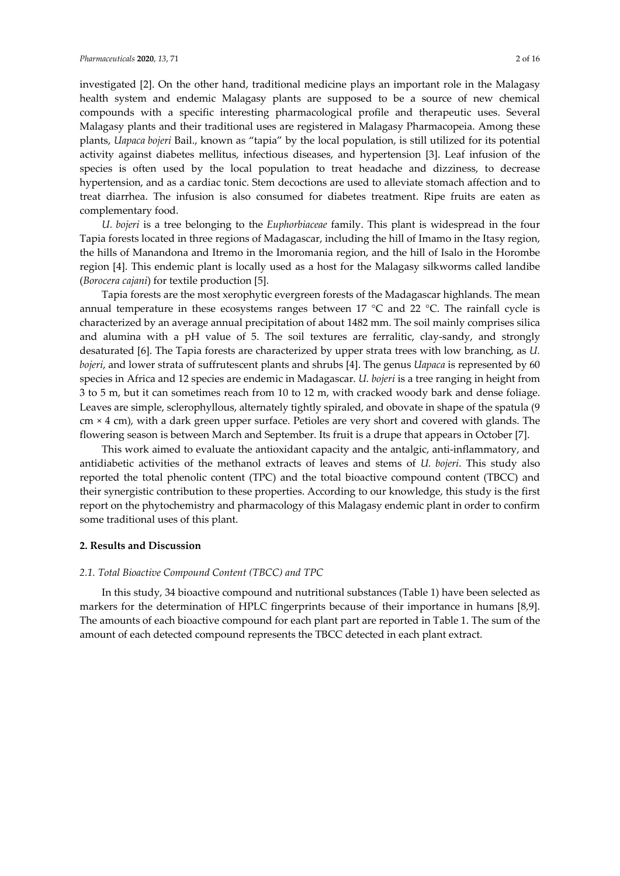investigated [2]. On the other hand, traditional medicine plays an important role in the Malagasy health system and endemic Malagasy plants are supposed to be a source of new chemical compounds with a specific interesting pharmacological profile and therapeutic uses. Several Malagasy plants and their traditional uses are registered in Malagasy Pharmacopeia. Among these plants, *Uapaca bojeri* Bail., known as "tapia" by the local population, is still utilized for its potential activity against diabetes mellitus, infectious diseases, and hypertension [3]. Leaf infusion of the species is often used by the local population to treat headache and dizziness, to decrease hypertension, and as a cardiac tonic. Stem decoctions are used to alleviate stomach affection and to treat diarrhea. The infusion is also consumed for diabetes treatment. Ripe fruits are eaten as complementary food.

*U. bojeri* is a tree belonging to the *Euphorbiaceae* family. This plant is widespread in the four Tapia forests located in three regions of Madagascar, including the hill of Imamo in the Itasy region, the hills of Manandona and Itremo in the Imoromania region, and the hill of Isalo in the Horombe region [4]. This endemic plant is locally used as a host for the Malagasy silkworms called landibe (*Borocera cajani*) for textile production [5].

Tapia forests are the most xerophytic evergreen forests of the Madagascar highlands. The mean annual temperature in these ecosystems ranges between 17  $^{\circ}$ C and 22  $^{\circ}$ C. The rainfall cycle is characterized by an average annual precipitation of about 1482 mm. The soil mainly comprises silica and alumina with a pH value of 5. The soil textures are ferralitic, clay-sandy, and strongly desaturated [6]. The Tapia forests are characterized by upper strata trees with low branching, as *U. bojeri*, and lower strata of suffrutescent plants and shrubs [4]. The genus *Uapaca* is represented by 60 species in Africa and 12 species are endemic in Madagascar. *U. bojeri* is a tree ranging in height from 3 to 5 m, but it can sometimes reach from 10 to 12 m, with cracked woody bark and dense foliage. Leaves are simple, sclerophyllous, alternately tightly spiraled, and obovate in shape of the spatula (9 cm × 4 cm), with a dark green upper surface. Petioles are very short and covered with glands. The flowering season is between March and September. Its fruit is a drupe that appears in October [7].

This work aimed to evaluate the antioxidant capacity and the antalgic, anti-inflammatory, and antidiabetic activities of the methanol extracts of leaves and stems of *U. bojeri*. This study also reported the total phenolic content (TPC) and the total bioactive compound content (TBCC) and their synergistic contribution to these properties. According to our knowledge, this study is the first report on the phytochemistry and pharmacology of this Malagasy endemic plant in order to confirm some traditional uses of this plant.

## **2. Results and Discussion**

## *2.1. Total Bioactive Compound Content (TBCC) and TPC*

In this study, 34 bioactive compound and nutritional substances (Table 1) have been selected as markers for the determination of HPLC fingerprints because of their importance in humans [8,9]. The amounts of each bioactive compound for each plant part are reported in Table 1. The sum of the amount of each detected compound represents the TBCC detected in each plant extract.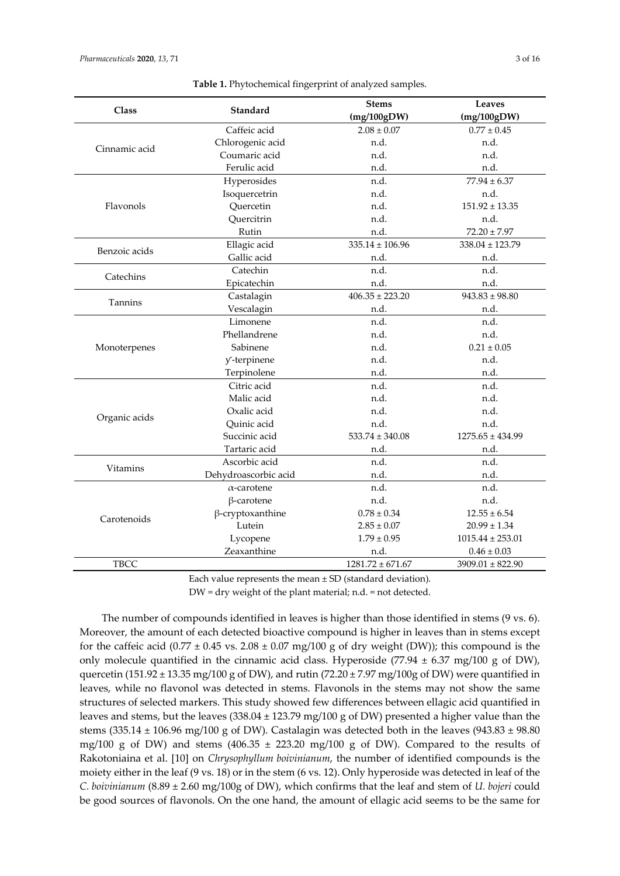| <b>Class</b>  | Standard                | <b>Stems</b>         | <b>Leaves</b>        |
|---------------|-------------------------|----------------------|----------------------|
|               |                         | (mg/100gDW)          | (mg/100gDW)          |
|               | Caffeic acid            | $2.08 \pm 0.07$      | $0.77 \pm 0.45$      |
| Cinnamic acid | Chlorogenic acid        | n.d.                 | n.d.                 |
|               | Coumaric acid           | n.d.                 | n.d.                 |
|               | Ferulic acid            | n.d.                 | n.d.                 |
|               | Hyperosides             | n.d.                 | $77.94 \pm 6.37$     |
|               | Isoquercetrin           | n.d.                 | n.d.                 |
| Flavonols     | Quercetin               | n.d.                 | $151.92 \pm 13.35$   |
|               | Quercitrin              | n.d.                 | n.d.                 |
|               | Rutin                   | n.d.                 | $72.20 \pm 7.97$     |
| Benzoic acids | Ellagic acid            | $335.14 \pm 106.96$  | $338.04 \pm 123.79$  |
|               | Gallic acid             | n.d.                 | n.d.                 |
| Catechins     | Catechin                | n.d.                 | n.d.                 |
|               | Epicatechin             | n.d.                 | n.d.                 |
| Tannins       | Castalagin              | $406.35 \pm 223.20$  | $943.83 \pm 98.80$   |
|               | Vescalagin              | n.d.                 | n.d.                 |
|               | Limonene                | n.d.                 | n.d.                 |
|               | Phellandrene            | n.d.                 | n.d.                 |
| Monoterpenes  | Sabinene                | n.d.                 | $0.21 \pm 0.05$      |
|               | y-terpinene             | n.d.                 | n.d.                 |
|               | Terpinolene             | n.d.                 | n.d.                 |
|               | Citric acid             | n.d.                 | n.d.                 |
|               | Malic acid              | n.d.                 | n.d.                 |
|               | Oxalic acid             | n.d.                 | n.d.                 |
| Organic acids | Quinic acid             | n.d.                 | n.d.                 |
|               | Succinic acid           | $533.74 \pm 340.08$  | $1275.65 \pm 434.99$ |
|               | Tartaric acid           | n.d.                 | n.d.                 |
| Vitamins      | Ascorbic acid           | n.d.                 | n.d.                 |
|               | Dehydroascorbic acid    | n.d.                 | n.d.                 |
|               | $\alpha$ -carotene      | n.d.                 | n.d.                 |
|               | $\beta$ -carotene       | n.d.                 | n.d.                 |
| Carotenoids   | $\beta$ -cryptoxanthine | $0.78 \pm 0.34$      | $12.55 \pm 6.54$     |
|               | Lutein                  | $2.85 \pm 0.07$      | $20.99 \pm 1.34$     |
|               | Lycopene                | $1.79 \pm 0.95$      | $1015.44 \pm 253.01$ |
|               | Zeaxanthine             | n.d.                 | $0.46 \pm 0.03$      |
| <b>TBCC</b>   |                         | $1281.72 \pm 671.67$ | $3909.01 \pm 822.90$ |

**Table 1.** Phytochemical fingerprint of analyzed samples.

Each value represents the mean ± SD (standard deviation).

DW = dry weight of the plant material; n.d. = not detected.

The number of compounds identified in leaves is higher than those identified in stems (9 vs. 6). Moreover, the amount of each detected bioactive compound is higher in leaves than in stems except for the caffeic acid (0.77  $\pm$  0.45 vs. 2.08  $\pm$  0.07 mg/100 g of dry weight (DW)); this compound is the only molecule quantified in the cinnamic acid class. Hyperoside (77.94  $\pm$  6.37 mg/100 g of DW), quercetin (151.92  $\pm$  13.35 mg/100 g of DW), and rutin (72.20  $\pm$  7.97 mg/100g of DW) were quantified in leaves, while no flavonol was detected in stems. Flavonols in the stems may not show the same structures of selected markers. This study showed few differences between ellagic acid quantified in leaves and stems, but the leaves  $(338.04 \pm 123.79 \text{ mg}/100 \text{ g of DW})$  presented a higher value than the stems (335.14  $\pm$  106.96 mg/100 g of DW). Castalagin was detected both in the leaves (943.83  $\pm$  98.80 mg/100 g of DW) and stems  $(406.35 \pm 223.20 \text{ mg}/100 \text{ g}$  of DW). Compared to the results of Rakotoniaina et al. [10] on *Chrysophyllum boivinianum*, the number of identified compounds is the moiety either in the leaf (9 vs. 18) or in the stem (6 vs. 12). Only hyperoside was detected in leaf of the *C. boivinianum* (8.89 ± 2.60 mg/100g of DW), which confirms that the leaf and stem of *U. bojeri* could be good sources of flavonols. On the one hand, the amount of ellagic acid seems to be the same for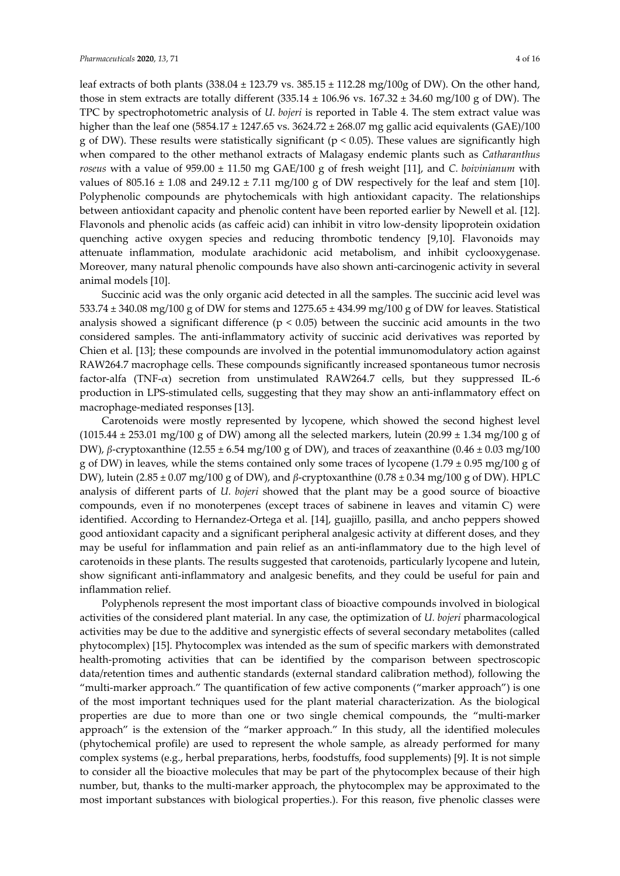leaf extracts of both plants  $(338.04 \pm 123.79 \text{ vs. } 385.15 \pm 112.28 \text{ mg}/100 \text{g of DW})$ . On the other hand, those in stem extracts are totally different  $(335.14 \pm 106.96 \text{ vs. } 167.32 \pm 34.60 \text{ mg}/100 \text{ g}$  of DW). The TPC by spectrophotometric analysis of *U. bojeri* is reported in Table 4. The stem extract value was higher than the leaf one  $(5854.17 \pm 1247.65 \text{ vs. } 3624.72 \pm 268.07 \text{ mg}$  gallic acid equivalents  $(GAE)/100$ g of DW). These results were statistically significant (p < 0*.*05). These values are significantly high when compared to the other methanol extracts of Malagasy endemic plants such as *Catharanthus roseus* with a value of 959.00 ± 11.50 mg GAE/100 g of fresh weight [11], and *C. boivinianum* with values of 805.16  $\pm$  1.08 and 249.12  $\pm$  7.11 mg/100 g of DW respectively for the leaf and stem [10]. Polyphenolic compounds are phytochemicals with high antioxidant capacity. The relationships between antioxidant capacity and phenolic content have been reported earlier by Newell et al. [12]. Flavonols and phenolic acids (as caffeic acid) can inhibit in vitro low-density lipoprotein oxidation quenching active oxygen species and reducing thrombotic tendency [9,10]. Flavonoids may attenuate inflammation, modulate arachidonic acid metabolism, and inhibit cyclooxygenase. Moreover, many natural phenolic compounds have also shown anti-carcinogenic activity in several animal models [10].

Succinic acid was the only organic acid detected in all the samples. The succinic acid level was 533.74 ± 340.08 mg/100 g of DW for stems and 1275.65 ± 434.99 mg/100 g of DW for leaves. Statistical analysis showed a significant difference ( $p < 0.05$ ) between the succinic acid amounts in the two considered samples. The anti-inflammatory activity of succinic acid derivatives was reported by Chien et al. [13]; these compounds are involved in the potential immunomodulatory action against RAW264.7 macrophage cells. These compounds significantly increased spontaneous tumor necrosis factor-alfa (TNF- $\alpha$ ) secretion from unstimulated RAW264.7 cells, but they suppressed IL-6 production in LPS-stimulated cells, suggesting that they may show an anti-inflammatory effect on macrophage-mediated responses [13].

Carotenoids were mostly represented by lycopene, which showed the second highest level (1015.44  $\pm$  253.01 mg/100 g of DW) among all the selected markers, lutein (20.99  $\pm$  1.34 mg/100 g of DW), *β*-cryptoxanthine (12.55 ± 6.54 mg/100 g of DW), and traces of zeaxanthine (0.46 ± 0.03 mg/100 g of DW) in leaves, while the stems contained only some traces of lycopene (1.79  $\pm$  0.95 mg/100 g of DW), lutein (2.85 ± 0.07 mg/100 g of DW), and *β*-cryptoxanthine (0.78 ± 0.34 mg/100 g of DW). HPLC analysis of different parts of *U. bojeri* showed that the plant may be a good source of bioactive compounds, even if no monoterpenes (except traces of sabinene in leaves and vitamin C) were identified. According to Hernandez-Ortega et al. [14], guajillo, pasilla, and ancho peppers showed good antioxidant capacity and a significant peripheral analgesic activity at different doses, and they may be useful for inflammation and pain relief as an anti-inflammatory due to the high level of carotenoids in these plants. The results suggested that carotenoids, particularly lycopene and lutein, show significant anti-inflammatory and analgesic benefits, and they could be useful for pain and inflammation relief.

Polyphenols represent the most important class of bioactive compounds involved in biological activities of the considered plant material. In any case, the optimization of *U. bojeri* pharmacological activities may be due to the additive and synergistic effects of several secondary metabolites (called phytocomplex) [15]. Phytocomplex was intended as the sum of specific markers with demonstrated health-promoting activities that can be identified by the comparison between spectroscopic data/retention times and authentic standards (external standard calibration method), following the "multi-marker approach." The quantification of few active components ("marker approach") is one of the most important techniques used for the plant material characterization. As the biological properties are due to more than one or two single chemical compounds, the "multi-marker approach" is the extension of the "marker approach." In this study, all the identified molecules (phytochemical profile) are used to represent the whole sample, as already performed for many complex systems (e.g., herbal preparations, herbs, foodstuffs, food supplements) [9]. It is not simple to consider all the bioactive molecules that may be part of the phytocomplex because of their high number, but, thanks to the multi-marker approach, the phytocomplex may be approximated to the most important substances with biological properties.). For this reason, five phenolic classes were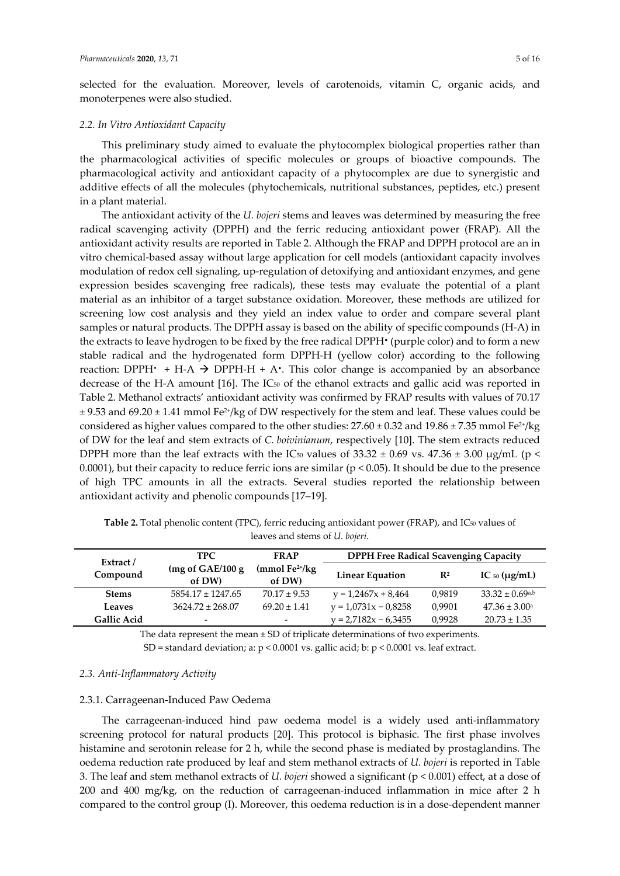selected for the evaluation. Moreover, levels of carotenoids, vitamin C, organic acids, and monoterpenes were also studied.

## *2.2. In Vitro Antioxidant Capacity*

This preliminary study aimed to evaluate the phytocomplex biological properties rather than the pharmacological activities of specific molecules or groups of bioactive compounds. The pharmacological activity and antioxidant capacity of a phytocomplex are due to synergistic and additive effects of all the molecules (phytochemicals, nutritional substances, peptides, etc.) present in a plant material.

The antioxidant activity of the *U. bojeri* stems and leaves was determined by measuring the free radical scavenging activity (DPPH) and the ferric reducing antioxidant power (FRAP). All the antioxidant activity results are reported in Table 2. Although the FRAP and DPPH protocol are an in vitro chemical-based assay without large application for cell models (antioxidant capacity involves modulation of redox cell signaling, up-regulation of detoxifying and antioxidant enzymes, and gene expression besides scavenging free radicals), these tests may evaluate the potential of a plant material as an inhibitor of a target substance oxidation. Moreover, these methods are utilized for screening low cost analysis and they yield an index value to order and compare several plant samples or natural products. The DPPH assay is based on the ability of specific compounds (H-A) in the extracts to leave hydrogen to be fixed by the free radical DPPH• (purple color) and to form a new stable radical and the hydrogenated form DPPH-H (yellow color) according to the following reaction: DPPH $\cdot$  + H-A  $\rightarrow$  DPPH-H + A $\cdot$ . This color change is accompanied by an absorbance decrease of the H-A amount [16]. The IC50 of the ethanol extracts and gallic acid was reported in Table 2. Methanol extracts' antioxidant activity was confirmed by FRAP results with values of 70.17  $\pm$  9.53 and 69.20  $\pm$  1.41 mmol Fe<sup>2+</sup>/kg of DW respectively for the stem and leaf. These values could be considered as higher values compared to the other studies:  $27.60 \pm 0.32$  and  $19.86 \pm 7.35$  mmol Fe<sup>2+</sup>/kg of DW for the leaf and stem extracts of *C. boivinianum*, respectively [10]. The stem extracts reduced DPPH more than the leaf extracts with the IC<sub>50</sub> values of 33.32  $\pm$  0.69 vs. 47.36  $\pm$  3.00 µg/mL (p < 0.0001), but their capacity to reduce ferric ions are similar ( $p < 0.05$ ). It should be due to the presence of high TPC amounts in all the extracts. Several studies reported the relationship between antioxidant activity and phenolic compounds [17–19].

| Extract /          | TPC.                        | <b>FRAP</b>                | <b>DPPH Free Radical Scavenging Capacity</b> |                |                                 |
|--------------------|-----------------------------|----------------------------|----------------------------------------------|----------------|---------------------------------|
| Compound           | (mg of GAE/100 g)<br>of DW) | $(mmol Fe2+/kg)$<br>of DW) | <b>Linear Equation</b>                       | $\mathbf{R}^2$ | IC $50 \, (\mu g/mL)$           |
| <b>Stems</b>       | $5854.17 \pm 1247.65$       | $70.17 \pm 9.53$           | $y = 1,2467x + 8,464$                        | 0.9819         | $33.32 \pm 0.69$ <sup>a,b</sup> |
| <b>Leaves</b>      | $3624.72 \pm 268.07$        | $69.20 \pm 1.41$           | $y = 1,0731x - 0,8258$                       | 0.9901         | $47.36 \pm 3.00^{\circ}$        |
| <b>Gallic Acid</b> | $\overline{\phantom{a}}$    | $\overline{\phantom{0}}$   | $v = 2.7182x - 6.3455$                       | 0.9928         | $20.73 \pm 1.35$                |

Table 2. Total phenolic content (TPC), ferric reducing antioxidant power (FRAP), and IC<sub>50</sub> values of leaves and stems of *U. bojeri*.

The data represent the mean ± SD of triplicate determinations of two experiments. SD = standard deviation; a: p < 0.0001 vs. gallic acid; b: p < 0.0001 vs. leaf extract.

## *2.3. Anti-Inflammatory Activity*

## 2.3.1. Carrageenan-Induced Paw Oedema

The carrageenan-induced hind paw oedema model is a widely used anti-inflammatory screening protocol for natural products [20]. This protocol is biphasic. The first phase involves histamine and serotonin release for 2 h, while the second phase is mediated by prostaglandins. The oedema reduction rate produced by leaf and stem methanol extracts of *U. bojeri* is reported in Table 3. The leaf and stem methanol extracts of *U. bojeri* showed a significant (p < 0.001) effect, at a dose of 200 and 400 mg/kg, on the reduction of carrageenan-induced inflammation in mice after 2 h compared to the control group (I). Moreover, this oedema reduction is in a dose-dependent manner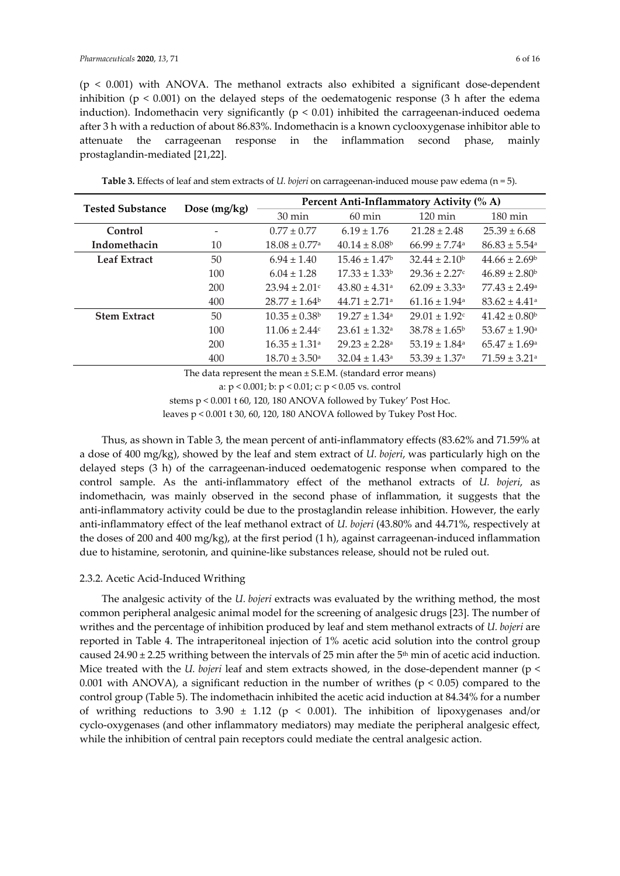$(p < 0.001)$  with ANOVA. The methanol extracts also exhibited a significant dose-dependent

inhibition ( $p < 0.001$ ) on the delayed steps of the oedematogenic response (3 h after the edema induction). Indomethacin very significantly ( $p < 0.01$ ) inhibited the carrageenan-induced oedema after 3 h with a reduction of about 86.83%. Indomethacin is a known cyclooxygenase inhibitor able to attenuate the carrageenan response in the inflammation second phase, mainly prostaglandin-mediated [21,22].

| <b>Tested Substance</b> |                | Percent Anti-Inflammatory Activity (% A) |                               |                               |                               |  |  |  |
|-------------------------|----------------|------------------------------------------|-------------------------------|-------------------------------|-------------------------------|--|--|--|
|                         | Dose $(mg/kg)$ | $30 \text{ min}$                         | $60 \text{ min}$              | $120 \text{ min}$             | $180 \text{ min}$             |  |  |  |
| Control                 |                | $0.77 \pm 0.77$                          | $6.19 \pm 1.76$               | $21.28 \pm 2.48$              | $25.39 \pm 6.68$              |  |  |  |
| Indomethacin            | 10             | $18.08 \pm 0.77$ <sup>a</sup>            | $40.14 \pm 8.08^{\circ}$      | $66.99 \pm 7.74$ <sup>a</sup> | $86.83 \pm 5.54$ <sup>a</sup> |  |  |  |
| <b>Leaf Extract</b>     | 50             | $6.94 \pm 1.40$                          | $15.46 \pm 1.47^{\circ}$      | $32.44 \pm 2.10^b$            | $44.66 \pm 2.69^{\circ}$      |  |  |  |
|                         | 100            | $6.04 \pm 1.28$                          | $17.33 \pm 1.33^b$            | $29.36 \pm 2.27$ c            | $46.89 \pm 2.80^b$            |  |  |  |
|                         | 200            | $23.94 \pm 2.01$ c                       | $43.80 \pm 4.31$ <sup>a</sup> | $62.09 \pm 3.33$ <sup>a</sup> | $77.43 \pm 2.49^{\circ}$      |  |  |  |
|                         | 400            | $28.77 + 1.64^b$                         | $44.71 + 2.71$ <sup>a</sup>   | $61.16 + 1.94$ <sup>a</sup>   | $83.62 \pm 4.41$ <sup>a</sup> |  |  |  |
| <b>Stem Extract</b>     | 50             | $10.35 \pm 0.38$                         | $19.27 + 1.34a$               | $29.01 + 1.92c$               | $41.42 \pm 0.80^b$            |  |  |  |
|                         | 100            | $11.06 \pm 2.44$ c                       | $23.61 \pm 1.32$ <sup>a</sup> | $38.78 \pm 1.65^{\circ}$      | $53.67 \pm 1.90$ <sup>a</sup> |  |  |  |
|                         | 200            | $16.35 \pm 1.31$ <sup>a</sup>            | $29.23 \pm 2.28$ <sup>a</sup> | $53.19 + 1.84$ <sup>a</sup>   | $65.47 \pm 1.69$ <sup>a</sup> |  |  |  |
|                         | 400            | $18.70 \pm 3.50^{\circ}$                 | $32.04 \pm 1.43$ <sup>a</sup> | $53.39 \pm 1.37$ <sup>a</sup> | $71.59 \pm 3.21$ <sup>a</sup> |  |  |  |

**Table 3.** Effects of leaf and stem extracts of *U. bojeri* on carrageenan-induced mouse paw edema (n = 5).

The data represent the mean  $\pm$  S.E.M. (standard error means)

a: p < 0.001; b: p < 0.01; c: p < 0.05 vs. control

stems p < 0.001 t 60, 120, 180 ANOVA followed by Tukey' Post Hoc.

leaves p < 0.001 t 30, 60, 120, 180 ANOVA followed by Tukey Post Hoc.

Thus, as shown in Table 3, the mean percent of anti-inflammatory effects (83.62% and 71.59% at a dose of 400 mg/kg), showed by the leaf and stem extract of *U. bojeri*, was particularly high on the delayed steps (3 h) of the carrageenan-induced oedematogenic response when compared to the control sample. As the anti-inflammatory effect of the methanol extracts of *U. bojeri*, as indomethacin, was mainly observed in the second phase of inflammation, it suggests that the anti-inflammatory activity could be due to the prostaglandin release inhibition. However, the early anti-inflammatory effect of the leaf methanol extract of *U. bojeri* (43.80% and 44.71%, respectively at the doses of 200 and 400 mg/kg), at the first period (1 h), against carrageenan-induced inflammation due to histamine, serotonin, and quinine-like substances release, should not be ruled out.

## 2.3.2. Acetic Acid-Induced Writhing

The analgesic activity of the *U. bojeri* extracts was evaluated by the writhing method, the most common peripheral analgesic animal model for the screening of analgesic drugs [23]. The number of writhes and the percentage of inhibition produced by leaf and stem methanol extracts of *U. bojeri* are reported in Table 4. The intraperitoneal injection of 1% acetic acid solution into the control group caused 24.90  $\pm$  2.25 writhing between the intervals of 25 min after the 5<sup>th</sup> min of acetic acid induction. Mice treated with the *U. bojeri* leaf and stem extracts showed, in the dose-dependent manner (p < 0.001 with ANOVA), a significant reduction in the number of writhes ( $p < 0.05$ ) compared to the control group (Table 5). The indomethacin inhibited the acetic acid induction at 84.34% for a number of writhing reductions to 3.90  $\pm$  1.12 (p < 0.001). The inhibition of lipoxygeneses and/or cyclo-oxygenases (and other inflammatory mediators) may mediate the peripheral analgesic effect, while the inhibition of central pain receptors could mediate the central analgesic action.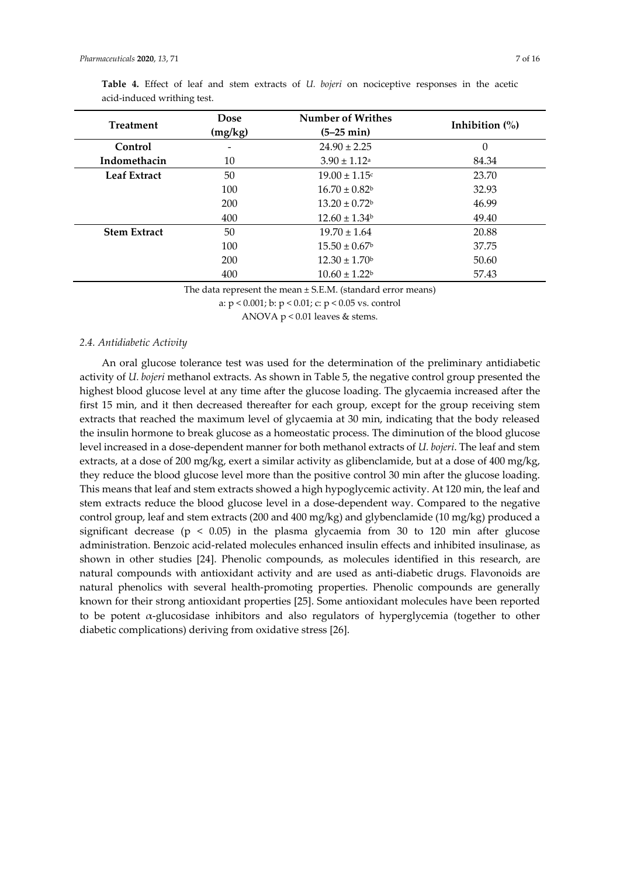| <b>Treatment</b>    | <b>Dose</b><br>(mg/kg)   | <b>Number of Writhes</b><br>$(5-25 \text{ min})$ | Inhibition $\frac{0}{0}$ |
|---------------------|--------------------------|--------------------------------------------------|--------------------------|
| Control             | $\overline{\phantom{a}}$ | $24.90 \pm 2.25$                                 | 0                        |
| Indomethacin        | 10                       | $3.90 \pm 1.12$ <sup>a</sup>                     | 84.34                    |
| <b>Leaf Extract</b> | 50                       | $19.00 \pm 1.15$ c                               | 23.70                    |
|                     | 100                      | $16.70 \pm 0.82^b$                               | 32.93                    |
|                     | 200                      | $13.20 \pm 0.72^b$                               | 46.99                    |
|                     | 400                      | $12.60 \pm 1.34^b$                               | 49.40                    |
| <b>Stem Extract</b> | 50                       | $19.70 \pm 1.64$                                 | 20.88                    |
|                     | 100                      | $15.50 \pm 0.67^{\circ}$                         | 37.75                    |
|                     | 200                      | $12.30 \pm 1.70^{\circ}$                         | 50.60                    |
|                     | 400                      | $10.60 \pm 1.22^b$                               | 57.43                    |

|  |                             |  |  |  |  | Table 4. Effect of leaf and stem extracts of <i>U. bojeri</i> on nociceptive responses in the acetic |  |  |
|--|-----------------------------|--|--|--|--|------------------------------------------------------------------------------------------------------|--|--|
|  | acid-induced writhing test. |  |  |  |  |                                                                                                      |  |  |

The data represent the mean ± S.E.M. (standard error means)

a: p < 0.001; b: p < 0.01; c: p < 0.05 vs. control

ANOVA p < 0.01 leaves & stems.

## *2.4. Antidiabetic Activity*

An oral glucose tolerance test was used for the determination of the preliminary antidiabetic activity of *U. bojeri* methanol extracts. As shown in Table 5, the negative control group presented the highest blood glucose level at any time after the glucose loading. The glycaemia increased after the first 15 min, and it then decreased thereafter for each group, except for the group receiving stem extracts that reached the maximum level of glycaemia at 30 min, indicating that the body released the insulin hormone to break glucose as a homeostatic process. The diminution of the blood glucose level increased in a dose-dependent manner for both methanol extracts of *U. bojeri*. The leaf and stem extracts, at a dose of 200 mg/kg, exert a similar activity as glibenclamide, but at a dose of 400 mg/kg, they reduce the blood glucose level more than the positive control 30 min after the glucose loading. This means that leaf and stem extracts showed a high hypoglycemic activity. At 120 min, the leaf and stem extracts reduce the blood glucose level in a dose-dependent way. Compared to the negative control group, leaf and stem extracts (200 and 400 mg/kg) and glybenclamide (10 mg/kg) produced a significant decrease ( $p < 0.05$ ) in the plasma glycaemia from 30 to 120 min after glucose administration. Benzoic acid-related molecules enhanced insulin effects and inhibited insulinase, as shown in other studies [24]. Phenolic compounds, as molecules identified in this research, are natural compounds with antioxidant activity and are used as anti-diabetic drugs. Flavonoids are natural phenolics with several health-promoting properties. Phenolic compounds are generally known for their strong antioxidant properties [25]. Some antioxidant molecules have been reported to be potent α-glucosidase inhibitors and also regulators of hyperglycemia (together to other diabetic complications) deriving from oxidative stress [26].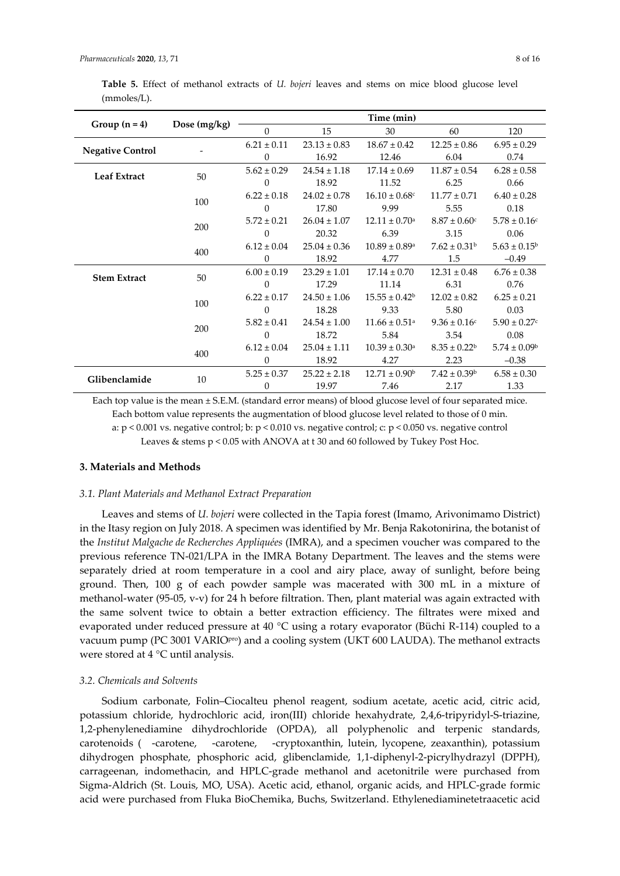|                         |              |                 | Time (min)       |                               |                              |                              |  |  |  |
|-------------------------|--------------|-----------------|------------------|-------------------------------|------------------------------|------------------------------|--|--|--|
| Group $(n = 4)$         | Dose (mg/kg) | $\Omega$        | 15               | 30                            | 60                           | 120                          |  |  |  |
|                         |              | $6.21 \pm 0.11$ | $23.13 \pm 0.83$ | $18.67 \pm 0.42$              | $12.25 \pm 0.86$             | $6.95 \pm 0.29$              |  |  |  |
| <b>Negative Control</b> |              | $\overline{0}$  | 16.92            | 12.46                         | 6.04                         | 0.74                         |  |  |  |
| <b>Leaf Extract</b>     | 50           | $5.62 \pm 0.29$ | $24.54 \pm 1.18$ | $17.14 \pm 0.69$              | $11.87 \pm 0.54$             | $6.28 \pm 0.58$              |  |  |  |
|                         |              | $\theta$        | 18.92            | 11.52                         | 6.25                         | 0.66                         |  |  |  |
|                         | 100          | $6.22 \pm 0.18$ | $24.02 \pm 0.78$ | $16.10 \pm 0.68$ c            | $11.77 \pm 0.71$             | $6.40 \pm 0.28$              |  |  |  |
|                         |              | $\overline{0}$  | 17.80            | 9.99                          | 5.55                         | 0.18                         |  |  |  |
|                         | 200          | $5.72 \pm 0.21$ | $26.04 \pm 1.07$ | $12.11 \pm 0.70$ <sup>a</sup> | $8.87 \pm 0.60$ c            | $5.78 \pm 0.16$ <sup>c</sup> |  |  |  |
|                         |              | $\theta$        | 20.32            | 6.39                          | 3.15                         | 0.06                         |  |  |  |
|                         | 400          | $6.12 \pm 0.04$ | $25.04 \pm 0.36$ | $10.89 \pm 0.89$ <sup>a</sup> | $7.62 \pm 0.31$ <sup>b</sup> | $5.63 \pm 0.15^{\circ}$      |  |  |  |
|                         |              | $\Omega$        | 18.92            | 4.77                          | 1.5                          | $-0.49$                      |  |  |  |
| <b>Stem Extract</b>     | 50           | $6.00 \pm 0.19$ | $23.29 \pm 1.01$ | $17.14 \pm 0.70$              | $12.31 \pm 0.48$             | $6.76 \pm 0.38$              |  |  |  |
|                         |              | $\overline{0}$  | 17.29            | 11.14                         | 6.31                         | 0.76                         |  |  |  |
|                         | 100          | $6.22 \pm 0.17$ | $24.50 \pm 1.06$ | $15.55 \pm 0.42^b$            | $12.02 \pm 0.82$             | $6.25 \pm 0.21$              |  |  |  |
|                         |              | $\theta$        | 18.28            | 9.33                          | 5.80                         | 0.03                         |  |  |  |
|                         | 200          | $5.82 \pm 0.41$ | $24.54 \pm 1.00$ | $11.66 \pm 0.51$ <sup>a</sup> | $9.36 \pm 0.16$ c            | $5.90 \pm 0.27$ c            |  |  |  |
|                         |              | $\theta$        | 18.72            | 5.84                          | 3.54                         | 0.08                         |  |  |  |
|                         | 400          | $6.12 \pm 0.04$ | $25.04 \pm 1.11$ | $10.39 \pm 0.30^{\text{a}}$   | $8.35 \pm 0.22^b$            | $5.74 \pm 0.09^{\rm b}$      |  |  |  |
|                         |              | 0               | 18.92            | 4.27                          | 2.23                         | $-0.38$                      |  |  |  |
| Glibenclamide           |              | $5.25 \pm 0.37$ | $25.22 \pm 2.18$ | $12.71 \pm 0.90^{\circ}$      | $7.42 \pm 0.39^{\rm b}$      | $6.58 \pm 0.30$              |  |  |  |
|                         | 10           | 0               | 19.97            | 7.46                          | 2.17                         | 1.33                         |  |  |  |

**Table 5.** Effect of methanol extracts of *U. bojeri* leaves and stems on mice blood glucose level (mmoles/L).

Each top value is the mean ± S.E.M. (standard error means) of blood glucose level of four separated mice. Each bottom value represents the augmentation of blood glucose level related to those of 0 min. a:  $p \le 0.001$  vs. negative control; b:  $p \le 0.010$  vs. negative control; c:  $p \le 0.050$  vs. negative control Leaves & stems p < 0.05 with ANOVA at t 30 and 60 followed by Tukey Post Hoc.

#### **3. Materials and Methods**

## *3.1. Plant Materials and Methanol Extract Preparation*

Leaves and stems of *U. bojeri* were collected in the Tapia forest (Imamo, Arivonimamo District) in the Itasy region on July 2018. A specimen was identified by Mr. Benja Rakotonirina, the botanist of the *Institut Malgache de Recherches Appliquées* (IMRA), and a specimen voucher was compared to the previous reference TN-021/LPA in the IMRA Botany Department. The leaves and the stems were separately dried at room temperature in a cool and airy place, away of sunlight, before being ground. Then, 100 g of each powder sample was macerated with 300 mL in a mixture of methanol-water (95-05, v-v) for 24 h before filtration. Then, plant material was again extracted with the same solvent twice to obtain a better extraction efficiency. The filtrates were mixed and evaporated under reduced pressure at 40 °C using a rotary evaporator (Büchi R-114) coupled to a vacuum pump (PC 3001 VARIOpro) and a cooling system (UKT 600 LAUDA). The methanol extracts were stored at 4 °C until analysis.

## *3.2. Chemicals and Solvents*

Sodium carbonate, Folin–Ciocalteu phenol reagent, sodium acetate, acetic acid, citric acid, potassium chloride, hydrochloric acid, iron(III) chloride hexahydrate, 2,4,6-tripyridyl-S-triazine, 1,2-phenylenediamine dihydrochloride (OPDA), all polyphenolic and terpenic standards, carotenoids ( -carotene, -carotene, -cryptoxanthin, lutein, lycopene, zeaxanthin), potassium dihydrogen phosphate, phosphoric acid, glibenclamide, 1,1-diphenyl-2-picrylhydrazyl (DPPH), carrageenan, indomethacin, and HPLC-grade methanol and acetonitrile were purchased from Sigma-Aldrich (St. Louis, MO, USA). Acetic acid, ethanol, organic acids, and HPLC-grade formic acid were purchased from Fluka BioChemika, Buchs, Switzerland. Ethylenediaminetetraacetic acid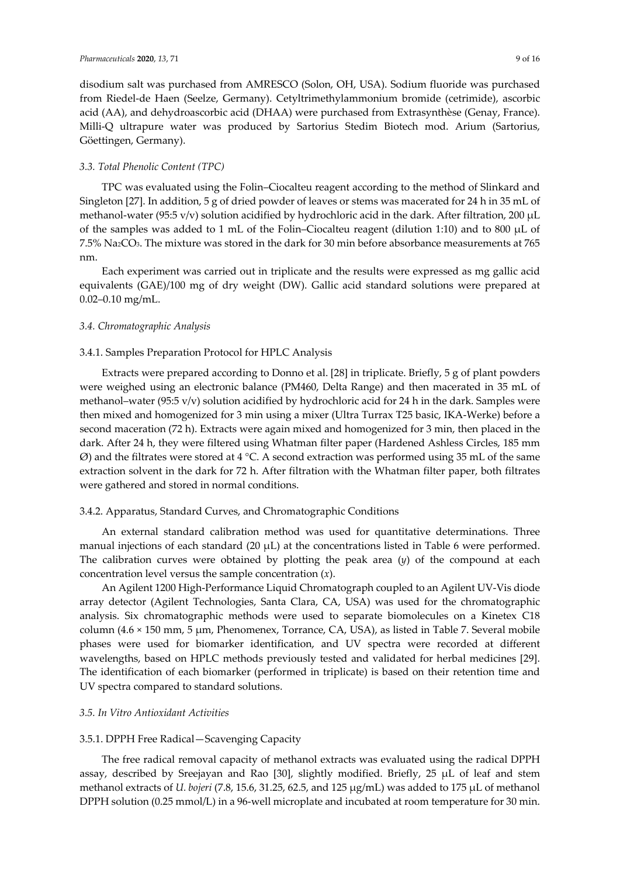disodium salt was purchased from AMRESCO (Solon, OH, USA). Sodium fluoride was purchased from Riedel-de Haen (Seelze, Germany). Cetyltrimethylammonium bromide (cetrimide), ascorbic acid (AA), and dehydroascorbic acid (DHAA) were purchased from Extrasynthèse (Genay, France). Milli-Q ultrapure water was produced by Sartorius Stedim Biotech mod. Arium (Sartorius, Göettingen, Germany).

## *3.3. Total Phenolic Content (TPC)*

TPC was evaluated using the Folin–Ciocalteu reagent according to the method of Slinkard and Singleton [27]. In addition, 5 g of dried powder of leaves or stems was macerated for 24 h in 35 mL of methanol-water (95:5 v/v) solution acidified by hydrochloric acid in the dark. After filtration, 200 µL of the samples was added to 1 mL of the Folin–Ciocalteu reagent (dilution 1:10) and to 800 µL of 7.5% Na2CO3. The mixture was stored in the dark for 30 min before absorbance measurements at 765 nm.

Each experiment was carried out in triplicate and the results were expressed as mg gallic acid equivalents (GAE)/100 mg of dry weight (DW). Gallic acid standard solutions were prepared at 0.02–0.10 mg/mL.

## *3.4. Chromatographic Analysis*

## 3.4.1. Samples Preparation Protocol for HPLC Analysis

Extracts were prepared according to Donno et al. [28] in triplicate. Briefly, 5 g of plant powders were weighed using an electronic balance (PM460, Delta Range) and then macerated in 35 mL of methanol–water (95:5 v/v) solution acidified by hydrochloric acid for 24 h in the dark. Samples were then mixed and homogenized for 3 min using a mixer (Ultra Turrax T25 basic, IKA-Werke) before a second maceration (72 h). Extracts were again mixed and homogenized for 3 min, then placed in the dark. After 24 h, they were filtered using Whatman filter paper (Hardened Ashless Circles, 185 mm  $\varnothing$ ) and the filtrates were stored at 4 °C. A second extraction was performed using 35 mL of the same extraction solvent in the dark for 72 h. After filtration with the Whatman filter paper, both filtrates were gathered and stored in normal conditions.

## 3.4.2. Apparatus, Standard Curves, and Chromatographic Conditions

An external standard calibration method was used for quantitative determinations. Three manual injections of each standard  $(20 \mu L)$  at the concentrations listed in Table 6 were performed. The calibration curves were obtained by plotting the peak area (*y*) of the compound at each concentration level versus the sample concentration (*x*).

An Agilent 1200 High-Performance Liquid Chromatograph coupled to an Agilent UV-Vis diode array detector (Agilent Technologies, Santa Clara, CA, USA) was used for the chromatographic analysis. Six chromatographic methods were used to separate biomolecules on a Kinetex C18 column ( $4.6 \times 150$  mm,  $5 \mu$ m, Phenomenex, Torrance, CA, USA), as listed in Table 7. Several mobile phases were used for biomarker identification, and UV spectra were recorded at different wavelengths, based on HPLC methods previously tested and validated for herbal medicines [29]. The identification of each biomarker (performed in triplicate) is based on their retention time and UV spectra compared to standard solutions.

## *3.5. In Vitro Antioxidant Activities*

## 3.5.1. DPPH Free Radical—Scavenging Capacity

The free radical removal capacity of methanol extracts was evaluated using the radical DPPH assay, described by Sreejayan and Rao [30], slightly modified. Briefly, 25 µL of leaf and stem methanol extracts of *U. bojeri* (7.8, 15.6, 31.25, 62.5, and 125 µg/mL) was added to 175 µL of methanol DPPH solution (0.25 mmol/L) in a 96-well microplate and incubated at room temperature for 30 min.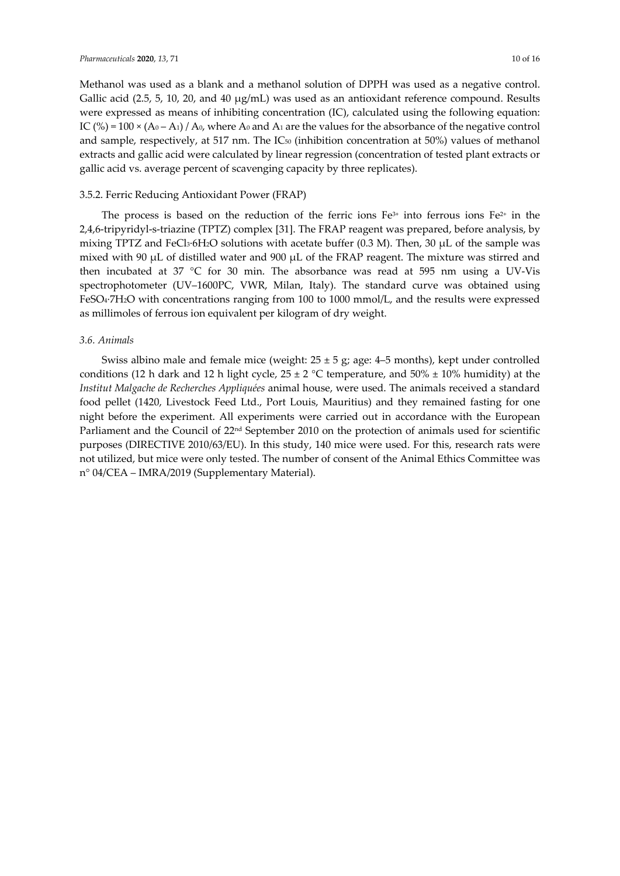Methanol was used as a blank and a methanol solution of DPPH was used as a negative control. Gallic acid (2.5, 5, 10, 20, and 40  $\mu$ g/mL) was used as an antioxidant reference compound. Results were expressed as means of inhibiting concentration (IC), calculated using the following equation: IC (%) = 100  $\times$  (A<sub>0</sub> – A<sub>1</sub>) / A<sub>0</sub>, where A<sub>0</sub> and A<sub>1</sub> are the values for the absorbance of the negative control and sample, respectively, at 517 nm. The IC50 (inhibition concentration at 50%) values of methanol extracts and gallic acid were calculated by linear regression (concentration of tested plant extracts or gallic acid vs. average percent of scavenging capacity by three replicates).

## 3.5.2. Ferric Reducing Antioxidant Power (FRAP)

The process is based on the reduction of the ferric ions  $Fe^{3+}$  into ferrous ions  $Fe^{2+}$  in the 2,4,6-tripyridyl-s-triazine (TPTZ) complex [31]. The FRAP reagent was prepared, before analysis, by mixing TPTZ and FeCl<sub>3</sub>·6H<sub>2</sub>O solutions with acetate buffer (0.3 M). Then, 30  $\mu$ L of the sample was mixed with 90 µL of distilled water and 900 µL of the FRAP reagent. The mixture was stirred and then incubated at 37 °C for 30 min. The absorbance was read at 595 nm using a UV-Vis spectrophotometer (UV–1600PC, VWR, Milan, Italy). The standard curve was obtained using FeSO4·7H2O with concentrations ranging from 100 to 1000 mmol/L, and the results were expressed as millimoles of ferrous ion equivalent per kilogram of dry weight.

## *3.6. Animals*

Swiss albino male and female mice (weight:  $25 \pm 5$  g; age: 4–5 months), kept under controlled conditions (12 h dark and 12 h light cycle,  $25 \pm 2$  °C temperature, and  $50\% \pm 10\%$  humidity) at the *Institut Malgache de Recherches Appliquées* animal house, were used. The animals received a standard food pellet (1420, Livestock Feed Ltd., Port Louis, Mauritius) and they remained fasting for one night before the experiment. All experiments were carried out in accordance with the European Parliament and the Council of 22<sup>nd</sup> September 2010 on the protection of animals used for scientific purposes (DIRECTIVE 2010/63/EU). In this study, 140 mice were used. For this, research rats were not utilized, but mice were only tested. The number of consent of the Animal Ethics Committee was n° 04/CEA – IMRA/2019 (Supplementary Material).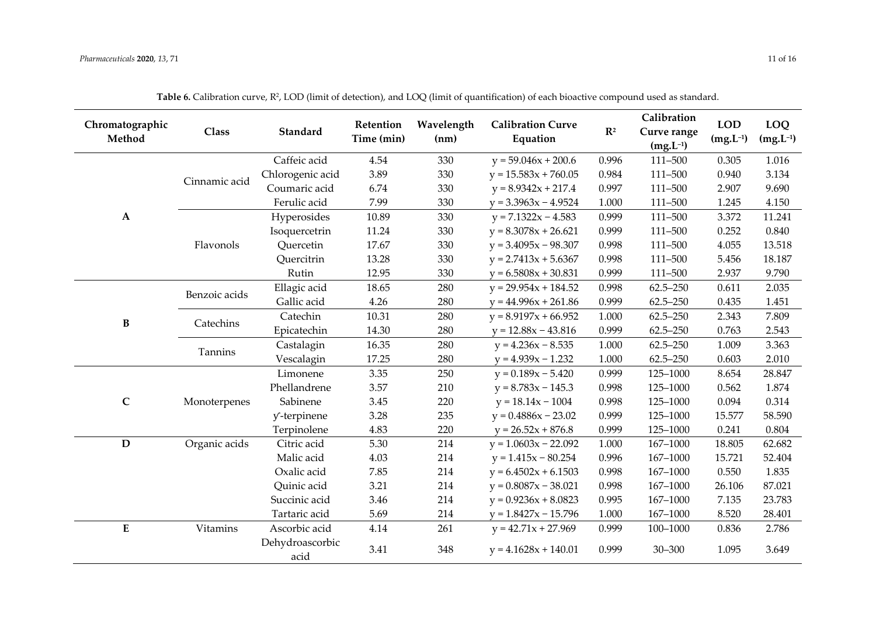| Chromatographic<br>Method | <b>Class</b>  | Standard                | Retention<br>Time (min) | Wavelength<br>(nm) | <b>Calibration Curve</b><br>Equation | $\mathbf{R}^2$ | Calibration<br>Curve range<br>$(mg.L^{-1})$ | <b>LOD</b><br>$(mg.L^{-1})$ | LOQ<br>$(mg.L^{-1})$ |
|---------------------------|---------------|-------------------------|-------------------------|--------------------|--------------------------------------|----------------|---------------------------------------------|-----------------------------|----------------------|
|                           |               | Caffeic acid            | 4.54                    | 330                | $y = 59.046x + 200.6$                | 0.996          | 111-500                                     | 0.305                       | 1.016                |
|                           | Cinnamic acid | Chlorogenic acid        | 3.89                    | 330                | $y = 15.583x + 760.05$               | 0.984          | 111-500                                     | 0.940                       | 3.134                |
|                           |               | Coumaric acid           | 6.74                    | 330                | $y = 8.9342x + 217.4$                | 0.997          | 111-500                                     | 2.907                       | 9.690                |
|                           |               | Ferulic acid            | 7.99                    | 330                | $y = 3.3963x - 4.9524$               | 1.000          | 111-500                                     | 1.245                       | 4.150                |
| $\mathbf{A}$              |               | Hyperosides             | 10.89                   | 330                | $y = 7.1322x - 4.583$                | 0.999          | 111-500                                     | 3.372                       | 11.241               |
|                           |               | Isoquercetrin           | 11.24                   | 330                | $y = 8.3078x + 26.621$               | 0.999          | 111-500                                     | 0.252                       | 0.840                |
|                           | Flavonols     | Quercetin               | 17.67                   | 330                | $y = 3.4095x - 98.307$               | 0.998          | 111-500                                     | 4.055                       | 13.518               |
|                           |               | Quercitrin              | 13.28                   | 330                | $y = 2.7413x + 5.6367$               | 0.998          | 111-500                                     | 5.456                       | 18.187               |
|                           |               | Rutin                   | 12.95                   | 330                | $y = 6.5808x + 30.831$               | 0.999          | 111-500                                     | 2.937                       | 9.790                |
|                           | Benzoic acids | Ellagic acid            | 18.65                   | 280                | $y = 29.954x + 184.52$               | 0.998          | $62.5 - 250$                                | 0.611                       | 2.035                |
|                           |               | Gallic acid             | 4.26                    | 280                | $y = 44.996x + 261.86$               | 0.999          | $62.5 - 250$                                | 0.435                       | 1.451                |
| B                         | Catechins     | Catechin                | 10.31                   | 280                | $y = 8.9197x + 66.952$               | 1.000          | $62.5 - 250$                                | 2.343                       | 7.809                |
|                           |               | Epicatechin             | 14.30                   | 280                | $y = 12.88x - 43.816$                | 0.999          | $62.5 - 250$                                | 0.763                       | 2.543                |
|                           | Tannins       | Castalagin              | 16.35                   | 280                | $y = 4.236x - 8.535$                 | 1.000          | $62.5 - 250$                                | 1.009                       | 3.363                |
|                           |               | Vescalagin              | 17.25                   | 280                | $y = 4.939x - 1.232$                 | 1.000          | $62.5 - 250$                                | 0.603                       | 2.010                |
|                           |               | Limonene                | 3.35                    | 250                | $y = 0.189x - 5.420$                 | 0.999          | 125-1000                                    | 8.654                       | 28.847               |
|                           |               | Phellandrene            | 3.57                    | 210                | $y = 8.783x - 145.3$                 | 0.998          | 125-1000                                    | 0.562                       | 1.874                |
| $\mathsf{C}$              | Monoterpenes  | Sabinene                | 3.45                    | 220                | $y = 18.14x - 1004$                  | 0.998          | 125-1000                                    | 0.094                       | 0.314                |
|                           |               | y-terpinene             | 3.28                    | 235                | $y = 0.4886x - 23.02$                | 0.999          | 125-1000                                    | 15.577                      | 58.590               |
|                           |               | Terpinolene             | 4.83                    | 220                | $y = 26.52x + 876.8$                 | 0.999          | 125-1000                                    | 0.241                       | 0.804                |
| $\mathbf D$               | Organic acids | Citric acid             | 5.30                    | 214                | $y = 1.0603x - 22.092$               | 1.000          | 167-1000                                    | 18.805                      | 62.682               |
|                           |               | Malic acid              | 4.03                    | 214                | $y = 1.415x - 80.254$                | 0.996          | 167-1000                                    | 15.721                      | 52.404               |
|                           |               | Oxalic acid             | 7.85                    | 214                | $y = 6.4502x + 6.1503$               | 0.998          | 167-1000                                    | 0.550                       | 1.835                |
|                           |               | Quinic acid             | 3.21                    | 214                | $y = 0.8087x - 38.021$               | 0.998          | 167-1000                                    | 26.106                      | 87.021               |
|                           |               | Succinic acid           | 3.46                    | 214                | $y = 0.9236x + 8.0823$               | 0.995          | 167-1000                                    | 7.135                       | 23.783               |
|                           |               | Tartaric acid           | 5.69                    | 214                | $y = 1.8427x - 15.796$               | 1.000          | 167-1000                                    | 8.520                       | 28.401               |
| ${\bf E}$                 | Vitamins      | Ascorbic acid           | 4.14                    | 261                | $y = 42.71x + 27.969$                | 0.999          | 100-1000                                    | 0.836                       | 2.786                |
|                           |               | Dehydroascorbic<br>acid | 3.41                    | 348                | $y = 4.1628x + 140.01$               | 0.999          | $30 - 300$                                  | 1.095                       | 3.649                |

Table 6. Calibration curve, R<sup>2</sup>, LOD (limit of detection), and LOQ (limit of quantification) of each bioactive compound used as standard.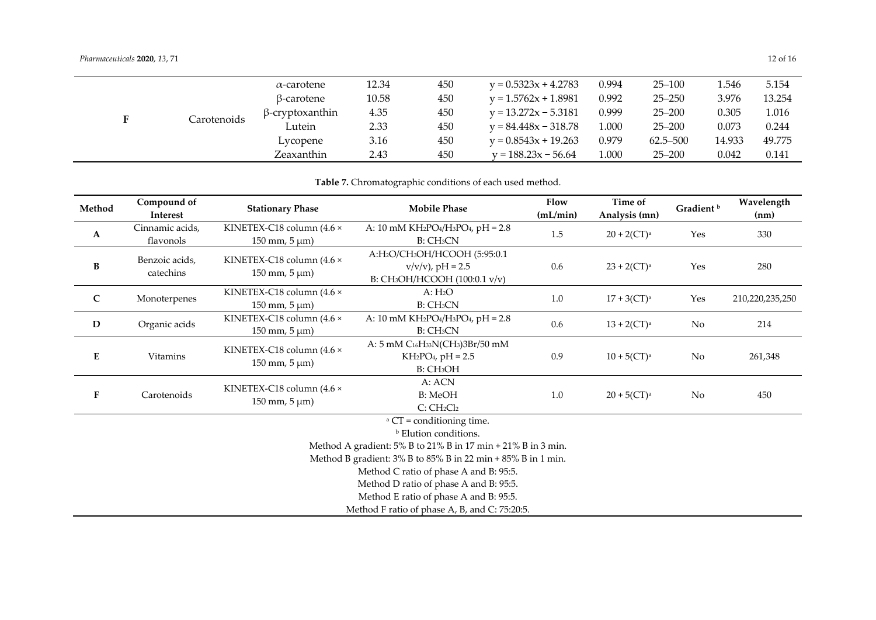|   |             | $\alpha$ -carotene     | 12.34 | 450 | $y = 0.5323x + 4.2783$ | 0.994 | $25 - 100$   | 1.546  | 5.154  |
|---|-------------|------------------------|-------|-----|------------------------|-------|--------------|--------|--------|
|   |             | β-carotene             | 10.58 | 450 | $y = 1.5762x + 1.8981$ | 0.992 | $25 - 250$   | 3.976  | 13.254 |
| E | Carotenoids | $\beta$ -cryptoxanthin | 4.35  | 450 | $y = 13.272x - 5.3181$ | 0.999 | $25 - 200$   | 0.305  | 1.016  |
|   |             | Lutein                 | 2.33  | 450 | $v = 84.448x - 318.78$ | 1.000 | $25 - 200$   | 0.073  | 0.244  |
|   |             | Lycopene               | 3.16  | 450 | $y = 0.8543x + 19.263$ | 0.979 | $62.5 - 500$ | 14.933 | 49.775 |
|   |             | Zeaxanthin             | 2.43  | 450 | $v = 188.23x - 56.64$  | 1.000 | $25 - 200$   | 0.042  | 0.141  |

**Table 7.** Chromatographic conditions of each used method.

| Method       | Compound of<br>Interest                                                                                                                                                                                                                                                                                                                                                                      | <b>Stationary Phase</b>                                                     | <b>Mobile Phase</b>                                                                                                      | Flow<br>(mL/min) | Time of<br>Analysis (mn)   | Gradient <sup>b</sup> | Wavelength<br>(nm) |  |  |  |  |
|--------------|----------------------------------------------------------------------------------------------------------------------------------------------------------------------------------------------------------------------------------------------------------------------------------------------------------------------------------------------------------------------------------------------|-----------------------------------------------------------------------------|--------------------------------------------------------------------------------------------------------------------------|------------------|----------------------------|-----------------------|--------------------|--|--|--|--|
| $\mathbf A$  | Cinnamic acids,<br>flavonols                                                                                                                                                                                                                                                                                                                                                                 | KINETEX-C18 column (4.6 ×<br>$150 \text{ mm}$ , $5 \text{ }\mu\text{m}$ )   | A: 10 mM KH2PO4/H <sub>3</sub> PO <sub>4</sub> , pH = $2.8$<br>B: CH <sub>3</sub> CN                                     | $1.5\,$          | $20 + 2$ (CT) <sup>a</sup> | Yes                   | 330                |  |  |  |  |
| $\, {\bf B}$ | Benzoic acids,<br>catechins                                                                                                                                                                                                                                                                                                                                                                  | KINETEX-C18 column (4.6 ×<br>$150 \text{ mm}, 5 \text{ }\mu\text{m}$        | A:H <sub>2</sub> O/CH <sub>3</sub> OH/HCOOH (5:95:0.1<br>$v/v/v$ , pH = 2.5<br>B: CH <sub>3</sub> OH/HCOOH (100:0.1 v/v) | 0.6              | $23 + 2$ (CT) <sup>a</sup> | Yes                   | 280                |  |  |  |  |
| $\mathbf C$  | Monoterpenes                                                                                                                                                                                                                                                                                                                                                                                 | KINETEX-C18 column $(4.6 \times$<br>$150 \text{ mm}, 5 \text{ }\mu\text{m}$ | A: H <sub>2</sub> O<br>B: CH <sub>3</sub> CN                                                                             | 1.0              | $17 + 3$ (CT) <sup>a</sup> | Yes                   | 210,220,235,250    |  |  |  |  |
| ${\bf D}$    | Organic acids                                                                                                                                                                                                                                                                                                                                                                                | KINETEX-C18 column $(4.6 \times$<br>$150 \text{ mm}, 5 \text{ }\mu\text{m}$ | A: 10 mM KH2PO4/H3PO4, pH = 2.8<br>B: CH <sub>3</sub> CN                                                                 | 0.6              | $13 + 2$ (CT) <sup>a</sup> | No                    | 214                |  |  |  |  |
| E            | Vitamins                                                                                                                                                                                                                                                                                                                                                                                     | KINETEX-C18 column (4.6 ×<br>$150 \text{ mm}, 5 \text{ }\mu\text{m}$        | A: 5 mM C16H33N(CH3)3Br/50 mM<br>$KH2PO4, pH = 2.5$<br>B: CH <sub>3</sub> OH                                             | 0.9              | $10 + 5$ (CT) <sup>a</sup> | No                    | 261,348            |  |  |  |  |
| ${\bf F}$    | Carotenoids                                                                                                                                                                                                                                                                                                                                                                                  | KINETEX-C18 column (4.6 ×<br>$150 \text{ mm}$ , $5 \text{ }\mu\text{m}$ )   | A: ACN<br><b>B:</b> MeOH<br>C:CH <sub>2</sub> Cl <sub>2</sub>                                                            | 1.0              | $20 + 5$ (CT) <sup>a</sup> | No                    | 450                |  |  |  |  |
|              | <sup>a</sup> CT = conditioning time.<br><b>b</b> Elution conditions.<br>Method A gradient: 5% B to 21% B in 17 min + 21% B in 3 min.<br>Method B gradient: $3\%$ B to $85\%$ B in 22 min + $85\%$ B in 1 min.<br>Method C ratio of phase A and B: 95:5.<br>Method D ratio of phase A and B: 95:5.<br>Method E ratio of phase A and B: 95:5.<br>Method F ratio of phase A, B, and C: 75:20:5. |                                                                             |                                                                                                                          |                  |                            |                       |                    |  |  |  |  |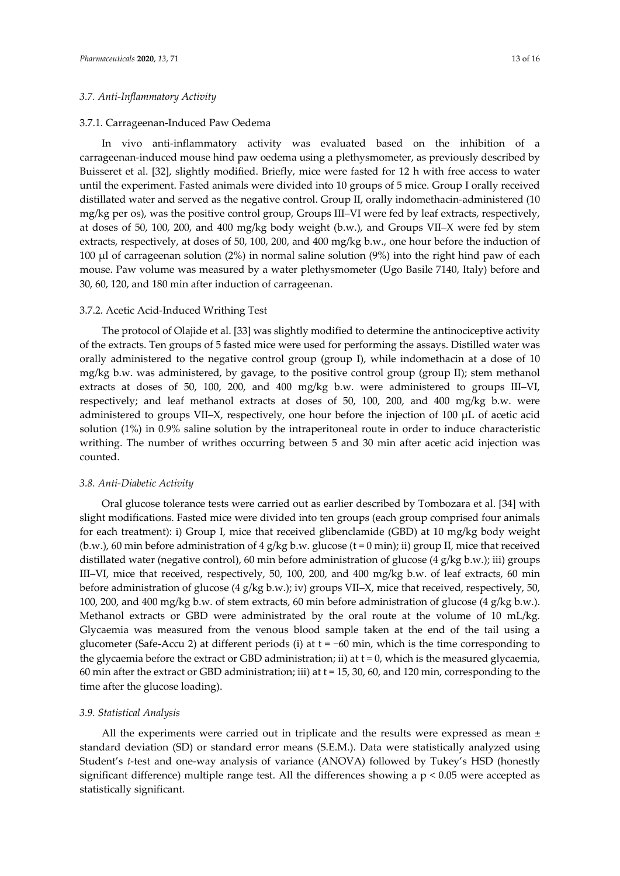## *3.7. Anti-Inflammatory Activity*

#### 3.7.1. Carrageenan-Induced Paw Oedema

In vivo anti-inflammatory activity was evaluated based on the inhibition of a carrageenan-induced mouse hind paw oedema using a plethysmometer, as previously described by Buisseret et al. [32], slightly modified. Briefly, mice were fasted for 12 h with free access to water until the experiment. Fasted animals were divided into 10 groups of 5 mice. Group I orally received distillated water and served as the negative control. Group II, orally indomethacin-administered (10 mg/kg per os), was the positive control group, Groups III–VI were fed by leaf extracts, respectively, at doses of 50, 100, 200, and 400 mg/kg body weight (b.w.), and Groups VII–X were fed by stem extracts, respectively, at doses of 50, 100, 200, and 400 mg/kg b.w., one hour before the induction of 100 µl of carrageenan solution (2%) in normal saline solution (9%) into the right hind paw of each mouse. Paw volume was measured by a water plethysmometer (Ugo Basile 7140, Italy) before and 30, 60, 120, and 180 min after induction of carrageenan.

#### 3.7.2. Acetic Acid-Induced Writhing Test

The protocol of Olajide et al. [33] was slightly modified to determine the antinociceptive activity of the extracts. Ten groups of 5 fasted mice were used for performing the assays. Distilled water was orally administered to the negative control group (group I), while indomethacin at a dose of 10 mg/kg b.w. was administered, by gavage, to the positive control group (group II); stem methanol extracts at doses of 50, 100, 200, and 400 mg/kg b.w. were administered to groups III–VI, respectively; and leaf methanol extracts at doses of 50, 100, 200, and 400 mg/kg b.w. were administered to groups VII–X, respectively, one hour before the injection of 100 µL of acetic acid solution (1%) in 0.9% saline solution by the intraperitoneal route in order to induce characteristic writhing. The number of writhes occurring between 5 and 30 min after acetic acid injection was counted.

## *3.8. Anti-Diabetic Activity*

Oral glucose tolerance tests were carried out as earlier described by Tombozara et al. [34] with slight modifications. Fasted mice were divided into ten groups (each group comprised four animals for each treatment): i) Group I, mice that received glibenclamide (GBD) at 10 mg/kg body weight (b.w.), 60 min before administration of 4 g/kg b.w. glucose (t = 0 min); ii) group II, mice that received distillated water (negative control), 60 min before administration of glucose (4 g/kg b.w.); iii) groups III–VI, mice that received, respectively, 50, 100, 200, and 400 mg/kg b.w. of leaf extracts, 60 min before administration of glucose (4 g/kg b.w.); iv) groups VII–X, mice that received, respectively, 50, 100, 200, and 400 mg/kg b.w. of stem extracts, 60 min before administration of glucose (4 g/kg b.w.). Methanol extracts or GBD were administrated by the oral route at the volume of 10 mL/kg. Glycaemia was measured from the venous blood sample taken at the end of the tail using a glucometer (Safe-Accu 2) at different periods (i) at  $t = -60$  min, which is the time corresponding to the glycaemia before the extract or GBD administration; ii) at  $t = 0$ , which is the measured glycaemia, 60 min after the extract or GBD administration; iii) at t = 15, 30, 60, and 120 min, corresponding to the time after the glucose loading).

#### *3.9. Statistical Analysis*

All the experiments were carried out in triplicate and the results were expressed as mean  $\pm$ standard deviation (SD) or standard error means (S.E.M.). Data were statistically analyzed using Student's *t*-test and one-way analysis of variance (ANOVA) followed by Tukey's HSD (honestly significant difference) multiple range test. All the differences showing a p < 0.05 were accepted as statistically significant.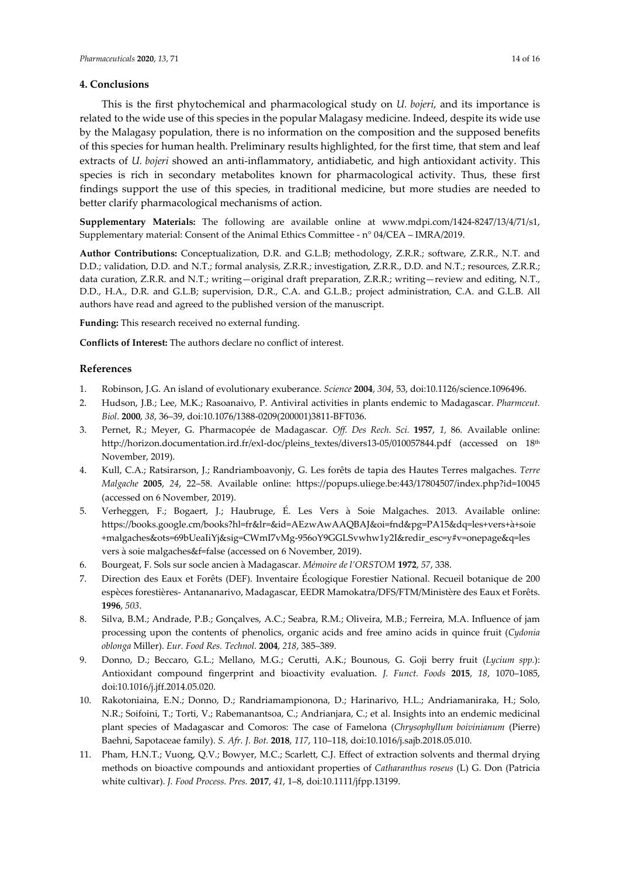## **4. Conclusions**

This is the first phytochemical and pharmacological study on *U. bojeri*, and its importance is related to the wide use of this species in the popular Malagasy medicine. Indeed, despite its wide use by the Malagasy population, there is no information on the composition and the supposed benefits of this species for human health. Preliminary results highlighted, for the first time, that stem and leaf extracts of *U. bojeri* showed an anti-inflammatory, antidiabetic, and high antioxidant activity. This species is rich in secondary metabolites known for pharmacological activity. Thus, these first findings support the use of this species, in traditional medicine, but more studies are needed to better clarify pharmacological mechanisms of action.

**Supplementary Materials:** The following are available online at www.mdpi.com/1424-8247/13/4/71/s1, Supplementary material: Consent of the Animal Ethics Committee - n° 04/CEA – IMRA/2019.

**Author Contributions:** Conceptualization, D.R. and G.L.B; methodology, Z.R.R.; software, Z.R.R., N.T. and D.D.; validation, D.D. and N.T.; formal analysis, Z.R.R.; investigation, Z.R.R., D.D. and N.T.; resources, Z.R.R.; data curation, Z.R.R. and N.T.; writing—original draft preparation, Z.R.R.; writing—review and editing, N.T., D.D., H.A., D.R. and G.L.B; supervision, D.R., C.A. and G.L.B.; project administration, C.A. and G.L.B. All authors have read and agreed to the published version of the manuscript.

**Funding:** This research received no external funding.

**Conflicts of Interest:** The authors declare no conflict of interest.

## **References**

- 1. Robinson, J.G. An island of evolutionary exuberance. *Science* **2004**, *304*, 53, doi:10.1126/science.1096496.
- 2. Hudson, J.B.; Lee, M.K.; Rasoanaivo, P. Antiviral activities in plants endemic to Madagascar. *Pharmceut. Biol*. **2000**, *38*, 36–39, doi:10.1076/1388-0209(200001)3811-BFT036.
- 3. Pernet, R.; Meyer, G. Pharmacopée de Madagascar. *Off. Des Rech. Sci.* **1957**, *1,* 86*.* Available online: http://horizon.documentation.ird.fr/exl-doc/pleins\_textes/divers13-05/010057844.pdf (accessed on 18<sup>th</sup> November, 2019).
- 4. Kull, C.A.; Ratsirarson, J.; Randriamboavonjy, G. Les forêts de tapia des Hautes Terres malgaches. *Terre Malgache* **2005**, *24*, 22–58. Available online: https://popups.uliege.be:443/17804507/index.php?id=10045 (accessed on 6 November, 2019).
- 5. Verheggen, F.; Bogaert, J.; Haubruge, É. Les Vers à Soie Malgaches. 2013. Available online: https://books.google.cm/books?hl=fr&lr=&id=AEzwAwAAQBAJ&oi=fnd&pg=PA15&dq=les+vers+à+soie +malgaches&ots=69bUeaIiYj&sig=CWmI7vMg-956oY9GGLSvwhw1y2I&redir\_esc=y#v=onepage&q=les vers à soie malgaches&f=false (accessed on 6 November, 2019).
- 6. Bourgeat, F. Sols sur socle ancien à Madagascar. *Mémoire de l'ORSTOM* **1972**, *57*, 338.
- 7. Direction des Eaux et Forêts (DEF). Inventaire Écologique Forestier National. Recueil botanique de 200 espèces forestières- Antananarivo, Madagascar, EEDR Mamokatra/DFS/FTM/Ministère des Eaux et Forêts. **1996**, *503*.
- 8. Silva, B.M.; Andrade, P.B.; Gonçalves, A.C.; Seabra, R.M.; Oliveira, M.B.; Ferreira, M.A. Influence of jam processing upon the contents of phenolics, organic acids and free amino acids in quince fruit (*Cydonia oblonga* Miller). *Eur. Food Res. Technol.* **2004**, *218*, 385–389.
- 9. Donno, D.; Beccaro, G.L.; Mellano, M.G.; Cerutti, A.K.; Bounous, G. Goji berry fruit (*Lycium spp.*): Antioxidant compound fingerprint and bioactivity evaluation. *J. Funct. Foods* **2015**, *18*, 1070–1085, doi:10.1016/j.jff.2014.05.020.
- 10. Rakotoniaina, E.N.; Donno, D.; Randriamampionona, D.; Harinarivo, H.L.; Andriamaniraka, H.; Solo, N.R.; Soifoini, T.; Torti, V.; Rabemanantsoa, C.; Andrianjara, C.; et al. Insights into an endemic medicinal plant species of Madagascar and Comoros: The case of Famelona (*Chrysophyllum boivinianum* (Pierre) Baehni, Sapotaceae family). *S. Afr. J. Bot.* **2018**, *117*, 110–118, doi:10.1016/j.sajb.2018.05.010.
- 11. Pham, H.N.T.; Vuong, Q.V.; Bowyer, M.C.; Scarlett, C.J. Effect of extraction solvents and thermal drying methods on bioactive compounds and antioxidant properties of *Catharanthus roseus* (L) G. Don (Patricia white cultivar). *J. Food Process. Pres.* **2017**, *41*, 1–8, doi:10.1111/jfpp.13199.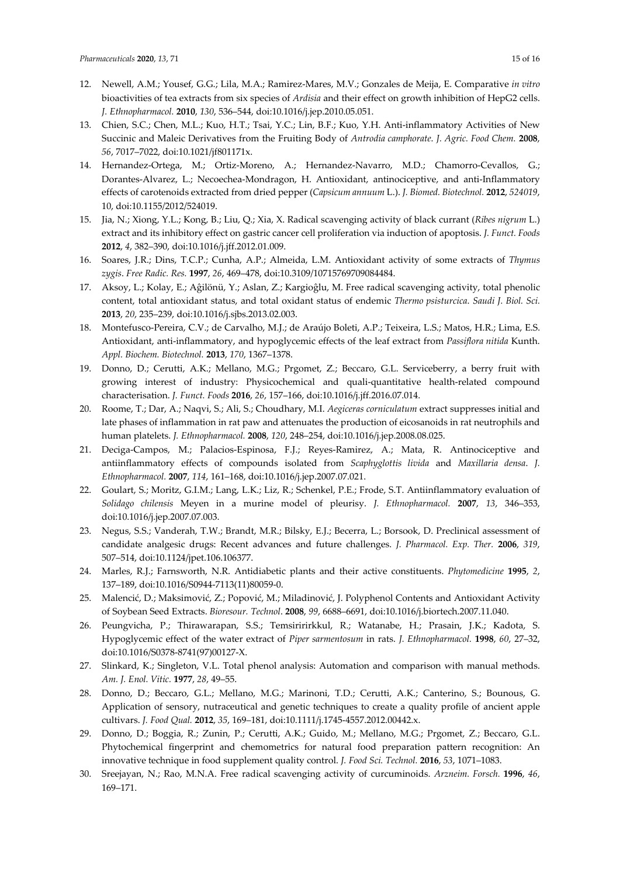- 12. Newell, A.M.; Yousef, G.G.; Lila, M.A.; Ramirez-Mares, M.V.; Gonzales de Meija, E. Comparative *in vitro* bioactivities of tea extracts from six species of *Ardisia* and their effect on growth inhibition of HepG2 cells. *J. Ethnopharmacol.* **2010**, *130*, 536–544, doi:10.1016/j.jep.2010.05.051.
- 13. Chien, S.C.; Chen, M.L.; Kuo, H.T.; Tsai, Y.C.; Lin, B.F.; Kuo, Y.H. Anti-inflammatory Activities of New Succinic and Maleic Derivatives from the Fruiting Body of *Antrodia camphorate*. *J. Agric. Food Chem.* **2008**, *56*, 7017–7022, doi:10.1021/jf801171x.
- 14. Hernandez-Ortega, M.; Ortiz-Moreno, A.; Hernandez-Navarro, M.D.; Chamorro-Cevallos, G.; Dorantes-Alvarez, L.; Necoechea-Mondragon, H. Antioxidant, antinociceptive, and anti-Inflammatory effects of carotenoids extracted from dried pepper (*Capsicum annuum* L.). *J. Biomed. Biotechnol.* **2012**, *524019*, 10, doi:10.1155/2012/524019.
- 15. Jia, N.; Xiong, Y.L.; Kong, B.; Liu, Q.; Xia, X. Radical scavenging activity of black currant (*Ribes nigrum* L.) extract and its inhibitory effect on gastric cancer cell proliferation via induction of apoptosis. *J. Funct. Foods* **2012**, *4*, 382–390, doi:10.1016/j.jff.2012.01.009.
- 16. Soares, J.R.; Dins, T.C.P.; Cunha, A.P.; Almeida, L.M. Antioxidant activity of some extracts of *Thymus zygis*. *Free Radic. Res.* **1997**, *26*, 469–478, doi:10.3109/10715769709084484.
- 17. Aksoy, L.; Kolay, E.; Aĝilönü, Y.; Aslan, Z.; Kargioĝlu, M. Free radical scavenging activity, total phenolic content, total antioxidant status, and total oxidant status of endemic *Thermo psisturcica*. *Saudi J. Biol. Sci.* **2013**, *20*, 235–239, doi:10.1016/j.sjbs.2013.02.003.
- 18. Montefusco-Pereira, C.V.; de Carvalho, M.J.; de Araújo Boleti, A.P.; Teixeira, L.S.; Matos, H.R.; Lima, E.S. Antioxidant, anti-inflammatory, and hypoglycemic effects of the leaf extract from *Passiflora nitida* Kunth. *Appl. Biochem. Biotechnol.* **2013**, *170*, 1367–1378.
- 19. Donno, D.; Cerutti, A.K.; Mellano, M.G.; Prgomet, Z.; Beccaro, G.L. Serviceberry, a berry fruit with growing interest of industry: Physicochemical and quali-quantitative health-related compound characterisation. *J. Funct. Foods* **2016**, *26*, 157–166, doi:10.1016/j.jff.2016.07.014.
- 20. Roome, T.; Dar, A.; Naqvi, S.; Ali, S.; Choudhary, M.I. *Aegiceras corniculatum* extract suppresses initial and late phases of inflammation in rat paw and attenuates the production of eicosanoids in rat neutrophils and human platelets. *J. Ethnopharmacol.* **2008**, *120*, 248–254, doi:10.1016/j.jep.2008.08.025.
- 21. Deciga-Campos, M.; Palacios-Espinosa, F.J.; Reyes-Ramirez, A.; Mata, R. Antinociceptive and antiinflammatory effects of compounds isolated from *Scaphyglottis livida* and *Maxillaria densa*. *J. Ethnopharmacol.* **2007**, *114*, 161–168, doi:10.1016/j.jep.2007.07.021.
- 22. Goulart, S.; Moritz, G.I.M.; Lang, L.K.; Liz, R.; Schenkel, P.E.; Frode, S.T. Antiinflammatory evaluation of *Solidago chilensis* Meyen in a murine model of pleurisy. *J. Ethnopharmacol.* **2007**, *13*, 346–353, doi:10.1016/j.jep.2007.07.003.
- 23. Negus, S.S.; Vanderah, T.W.; Brandt, M.R.; Bilsky, E.J.; Becerra, L.; Borsook, D. Preclinical assessment of candidate analgesic drugs: Recent advances and future challenges. *J. Pharmacol. Exp. Ther.* **2006**, *319*, 507–514, doi:10.1124/jpet.106.106377.
- 24. Marles, R.J.; Farnsworth, N.R. Antidiabetic plants and their active constituents. *Phytomedicine* **1995**, *2*, 137–189, doi:10.1016/S0944-7113(11)80059-0.
- 25. Malencić, D.; Maksimović, Z.; Popović, M.; Miladinović, J. Polyphenol Contents and Antioxidant Activity of Soybean Seed Extracts. *Bioresour. Technol*. **2008**, *99*, 6688–6691, doi:10.1016/j.biortech.2007.11.040.
- 26. Peungvicha, P.; Thirawarapan, S.S.; Temsiririrkkul, R.; Watanabe, H.; Prasain, J.K.; Kadota, S. Hypoglycemic effect of the water extract of *Piper sarmentosum* in rats. *J. Ethnopharmacol.* **1998**, *60*, 27–32, doi:10.1016/S0378-8741(97)00127-X.
- 27. Slinkard, K.; Singleton, V.L. Total phenol analysis: Automation and comparison with manual methods. *Am. J. Enol. Vitic.* **1977**, *28*, 49–55.
- 28. Donno, D.; Beccaro, G.L.; Mellano, M.G.; Marinoni, T.D.; Cerutti, A.K.; Canterino, S.; Bounous, G. Application of sensory, nutraceutical and genetic techniques to create a quality profile of ancient apple cultivars. *J. Food Qual.* **2012**, *35*, 169–181, doi:10.1111/j.1745-4557.2012.00442.x.
- 29. Donno, D.; Boggia, R.; Zunin, P.; Cerutti, A.K.; Guido, M.; Mellano, M.G.; Prgomet, Z.; Beccaro, G.L. Phytochemical fingerprint and chemometrics for natural food preparation pattern recognition: An innovative technique in food supplement quality control. *J. Food Sci. Technol.* **2016**, *53*, 1071–1083.
- 30. Sreejayan, N.; Rao, M.N.A. Free radical scavenging activity of curcuminoids. *Arzneim. Forsch.* **1996**, *46*, 169–171.